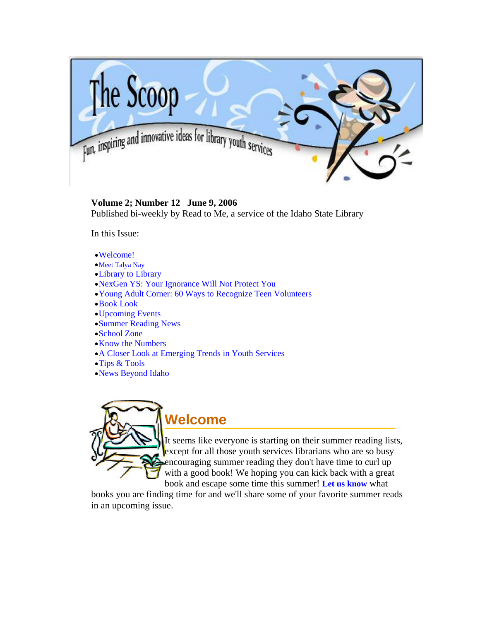<span id="page-0-0"></span>

#### **Volume 2; Number 12 June 9, 2006**

Published bi-weekly by Read to Me, a service of the Idaho State Library

In this Issue:

- •[Welcome!](#page-0-0)
- •[Meet Talya Nay](#page-0-0)
- •[Library to Library](#page-1-0)
- •[NexGen YS: Your Ignorance Will Not Protect You](#page-3-0)
- •[Young Adult Corner: 60 Ways to Recognize Teen Volunteers](#page-4-0)
- •[Book Look](#page-6-0)
- •[Upcoming Events](#page-7-0)
- •[Summer Reading News](#page-9-0)
- •[School Zone](#page-11-0)
- •[Know the Numbers](#page-12-0)
- •[A Closer Look at Emerging Trends in Youth Services](#page-12-0)
- •[Tips & Tools](#page-14-0)
- •[News Beyond Idaho](#page-15-0)



It seems like everyone is starting on their summer reading lists, except for all those youth services librarians who are so busy encouraging summer reading they don't have time to curl up with a good book! We hoping you can kick back with a great book and escape some time this summer! **[Let us know](mailto:stephanie.bailey-white@libraries.idaho.gov)** what

books you are finding time for and we'll share some of your favorite summer reads in an upcoming issue.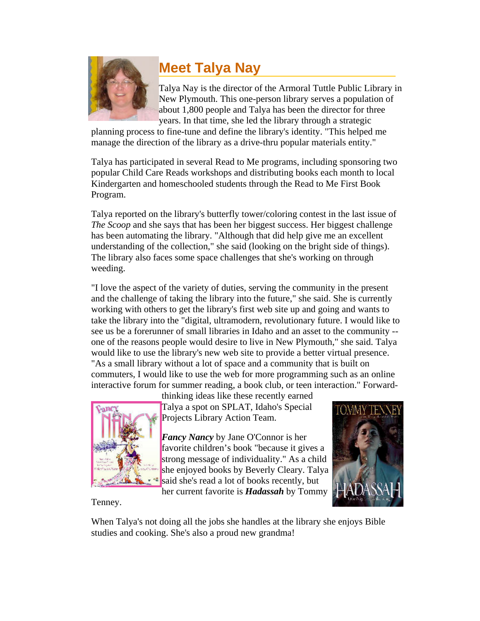<span id="page-1-0"></span>

# **Meet Talya Nay**

Talya Nay is the director of the Armoral Tuttle Public Library in New Plymouth. This one-person library serves a population of about 1,800 people and Talya has been the director for three years. In that time, she led the library through a strategic

planning process to fine-tune and define the library's identity. "This helped me manage the direction of the library as a drive-thru popular materials entity."

Talya has participated in several Read to Me programs, including sponsoring two popular Child Care Reads workshops and distributing books each month to local Kindergarten and homeschooled students through the Read to Me First Book Program.

Talya reported on the library's butterfly tower/coloring contest in the last issue of *The Scoop* and she says that has been her biggest success. Her biggest challenge has been automating the library. "Although that did help give me an excellent understanding of the collection," she said (looking on the bright side of things). The library also faces some space challenges that she's working on through weeding.

"I love the aspect of the variety of duties, serving the community in the present and the challenge of taking the library into the future," she said. She is currently working with others to get the library's first web site up and going and wants to take the library into the "digital, ultramodern, revolutionary future. I would like to see us be a forerunner of small libraries in Idaho and an asset to the community - one of the reasons people would desire to live in New Plymouth," she said. Talya would like to use the library's new web site to provide a better virtual presence. "As a small library without a lot of space and a community that is built on commuters, I would like to use the web for more programming such as an online interactive forum for summer reading, a book club, or teen interaction." Forward-



thinking ideas like these recently earned Talya a spot on SPLAT, Idaho's Special Projects Library Action Team.

*Fancy Nancy* by Jane O'Connor is her favorite children's book "because it gives a strong message of individuality." As a child she enjoyed books by Beverly Cleary. Talya said she's read a lot of books recently, but

her current favorite is *Hadassah* by Tommy



Tenney.

When Talya's not doing all the jobs she handles at the library she enjoys Bible studies and cooking. She's also a proud new grandma!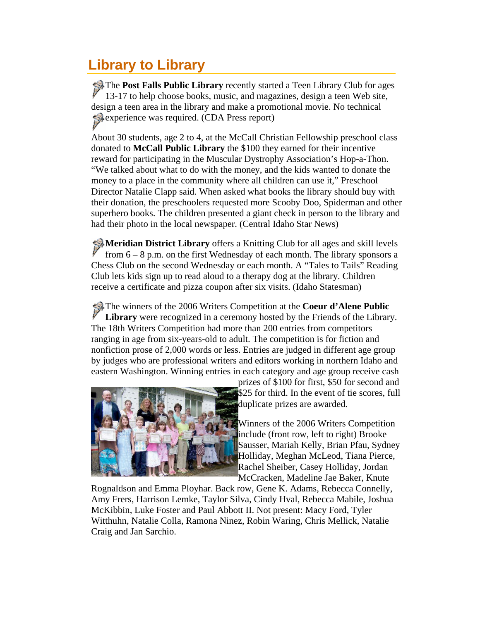# **Library to Library**

The **Post Falls Public Library** recently started a Teen Library Club for ages 13-17 to help choose books, music, and magazines, design a teen Web site, design a teen area in the library and make a promotional movie. No technical experience was required. (CDA Press report)

About 30 students, age 2 to 4, at the McCall Christian Fellowship preschool class donated to **McCall Public Library** the \$100 they earned for their incentive reward for participating in the Muscular Dystrophy Association's Hop-a-Thon. "We talked about what to do with the money, and the kids wanted to donate the money to a place in the community where all children can use it," Preschool Director Natalie Clapp said. When asked what books the library should buy with their donation, the preschoolers requested more Scooby Doo, Spiderman and other superhero books. The children presented a giant check in person to the library and had their photo in the local newspaper. (Central Idaho Star News)

**Meridian District Library** offers a Knitting Club for all ages and skill levels from 6 – 8 p.m. on the first Wednesday of each month. The library sponsors a Chess Club on the second Wednesday or each month. A "Tales to Tails" Reading Club lets kids sign up to read aloud to a therapy dog at the library. Children receive a certificate and pizza coupon after six visits. (Idaho Statesman)

The winners of the 2006 Writers Competition at the **Coeur d'Alene Public**<br> **T** ibrary were reconsized in a ceremony bosted by the Friends of the Library **Library** were recognized in a ceremony hosted by the Friends of the Library. The 18th Writers Competition had more than 200 entries from competitors ranging in age from six-years-old to adult. The competition is for fiction and nonfiction prose of 2,000 words or less. Entries are judged in different age group by judges who are professional writers and editors working in northern Idaho and eastern Washington. Winning entries in each category and age group receive cash



prizes of \$100 for first, \$50 for second and \$25 for third. In the event of tie scores, full duplicate prizes are awarded.

Winners of the 2006 Writers Competition include (front row, left to right) Brooke Sausser, Mariah Kelly, Brian Pfau, Sydney Holliday, Meghan McLeod, Tiana Pierce, Rachel Sheiber, Casey Holliday, Jordan McCracken, Madeline Jae Baker, Knute

Rognaldson and Emma Ployhar. Back row, Gene K. Adams, Rebecca Connelly, Amy Frers, Harrison Lemke, Taylor Silva, Cindy Hval, Rebecca Mabile, Joshua McKibbin, Luke Foster and Paul Abbott II. Not present: Macy Ford, Tyler Witthuhn, Natalie Colla, Ramona Ninez, Robin Waring, Chris Mellick, Natalie Craig and Jan Sarchio.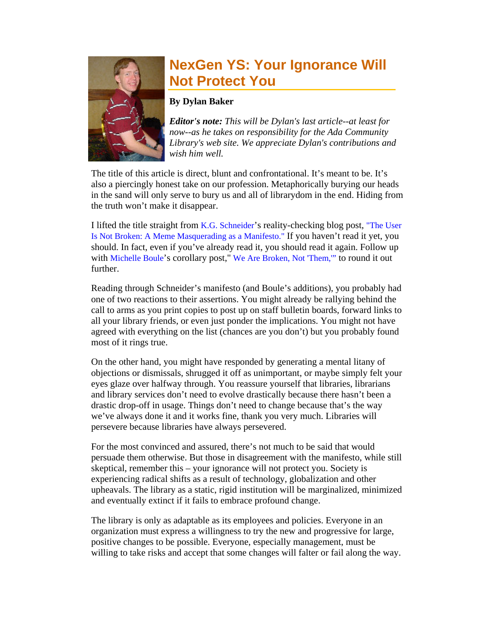<span id="page-3-0"></span>

### **NexGen YS: Your Ignorance Will Not Protect You**

#### **By Dylan Baker**

*Editor's note: This will be Dylan's last article--at least for now--as he takes on responsibility for the Ada Community Library's web site. We appreciate Dylan's contributions and wish him well.*

The title of this article is direct, blunt and confrontational. It's meant to be. It's also a piercingly honest take on our profession. Metaphorically burying our heads in the sand will only serve to bury us and all of librarydom in the end. Hiding from the truth won't make it disappear.

I lifted the title straight from [K.G. Schneider](http://freerangelibrarian.com/2003/12/about.php)'s reality-checking blog post, ["The User](http://freerangelibrarian.com/2006/06/the_user_is_not_broken_a_meme.php)  [Is Not Broken: A Meme Masquerading as a Manifesto."](http://freerangelibrarian.com/2006/06/the_user_is_not_broken_a_meme.php) If you haven't read it yet, you should. In fact, even if you've already read it, you should read it again. Follow up with [Michelle Boule'](http://wanderingeyre.com/about/)s corollary post," We Are Broken, Not 'Them," to round it out further.

Reading through Schneider's manifesto (and Boule's additions), you probably had one of two reactions to their assertions. You might already be rallying behind the call to arms as you print copies to post up on staff bulletin boards, forward links to all your library friends, or even just ponder the implications. You might not have agreed with everything on the list (chances are you don't) but you probably found most of it rings true.

On the other hand, you might have responded by generating a mental litany of objections or dismissals, shrugged it off as unimportant, or maybe simply felt your eyes glaze over halfway through. You reassure yourself that libraries, librarians and library services don't need to evolve drastically because there hasn't been a drastic drop-off in usage. Things don't need to change because that's the way we've always done it and it works fine, thank you very much. Libraries will persevere because libraries have always persevered.

For the most convinced and assured, there's not much to be said that would persuade them otherwise. But those in disagreement with the manifesto, while still skeptical, remember this – your ignorance will not protect you. Society is experiencing radical shifts as a result of technology, globalization and other upheavals. The library as a static, rigid institution will be marginalized, minimized and eventually extinct if it fails to embrace profound change.

The library is only as adaptable as its employees and policies. Everyone in an organization must express a willingness to try the new and progressive for large, positive changes to be possible. Everyone, especially management, must be willing to take risks and accept that some changes will falter or fail along the way.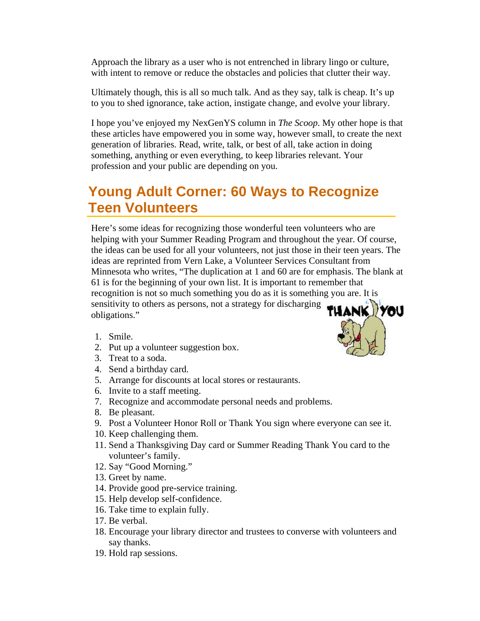<span id="page-4-0"></span>Approach the library as a user who is not entrenched in library lingo or culture, with intent to remove or reduce the obstacles and policies that clutter their way.

Ultimately though, this is all so much talk. And as they say, talk is cheap. It's up to you to shed ignorance, take action, instigate change, and evolve your library.

I hope you've enjoyed my NexGenYS column in *The Scoop*. My other hope is that these articles have empowered you in some way, however small, to create the next generation of libraries. Read, write, talk, or best of all, take action in doing something, anything or even everything, to keep libraries relevant. Your profession and your public are depending on you.

### **Young Adult Corner: 60 Ways to Recognize Teen Volunteers**

Here's some ideas for recognizing those wonderful teen volunteers who are helping with your Summer Reading Program and throughout the year. Of course, the ideas can be used for all your volunteers, not just those in their teen years. The ideas are reprinted from Vern Lake, a Volunteer Services Consultant from Minnesota who writes, "The duplication at 1 and 60 are for emphasis. The blank at 61 is for the beginning of your own list. It is important to remember that recognition is not so much something you do as it is something you are. It is sensitivity to others as persons, not a strategy for discharging TUANK obligations."

- 1. Smile.
- 2. Put up a volunteer suggestion box.
- 3. Treat to a soda.
- 4. Send a birthday card.
- 5. Arrange for discounts at local stores or restaurants.
- 6. Invite to a staff meeting.
- 7. Recognize and accommodate personal needs and problems.
- 8. Be pleasant.
- 9. Post a Volunteer Honor Roll or Thank You sign where everyone can see it.
- 10. Keep challenging them.
- 11. Send a Thanksgiving Day card or Summer Reading Thank You card to the volunteer's family.
- 12. Say "Good Morning."
- 13. Greet by name.
- 14. Provide good pre-service training.
- 15. Help develop self-confidence.
- 16. Take time to explain fully.
- 17. Be verbal.
- 18. Encourage your library director and trustees to converse with volunteers and say thanks.
- 19. Hold rap sessions.

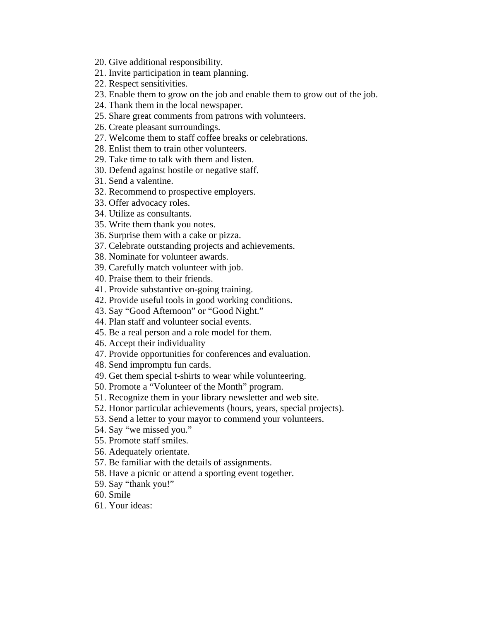- 20. Give additional responsibility.
- 21. Invite participation in team planning.
- 22. Respect sensitivities.
- 23. Enable them to grow on the job and enable them to grow out of the job.
- 24. Thank them in the local newspaper.
- 25. Share great comments from patrons with volunteers.
- 26. Create pleasant surroundings.
- 27. Welcome them to staff coffee breaks or celebrations.
- 28. Enlist them to train other volunteers.
- 29. Take time to talk with them and listen.
- 30. Defend against hostile or negative staff.
- 31. Send a valentine.
- 32. Recommend to prospective employers.
- 33. Offer advocacy roles.
- 34. Utilize as consultants.
- 35. Write them thank you notes.
- 36. Surprise them with a cake or pizza.
- 37. Celebrate outstanding projects and achievements.
- 38. Nominate for volunteer awards.
- 39. Carefully match volunteer with job.
- 40. Praise them to their friends.
- 41. Provide substantive on-going training.
- 42. Provide useful tools in good working conditions.
- 43. Say "Good Afternoon" or "Good Night."
- 44. Plan staff and volunteer social events.
- 45. Be a real person and a role model for them.
- 46. Accept their individuality
- 47. Provide opportunities for conferences and evaluation.
- 48. Send impromptu fun cards.
- 49. Get them special t-shirts to wear while volunteering.
- 50. Promote a "Volunteer of the Month" program.
- 51. Recognize them in your library newsletter and web site.
- 52. Honor particular achievements (hours, years, special projects).
- 53. Send a letter to your mayor to commend your volunteers.
- 54. Say "we missed you."
- 55. Promote staff smiles.
- 56. Adequately orientate.
- 57. Be familiar with the details of assignments.
- 58. Have a picnic or attend a sporting event together.
- 59. Say "thank you!"
- 60. Smile
- 61. Your ideas: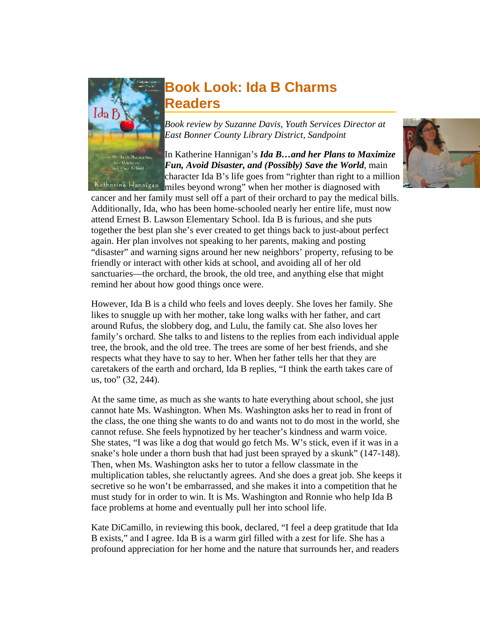<span id="page-6-0"></span>

### **Book Look: Ida B Charms Readers**

*Book review by Suzanne Davis, Youth Services Director at East Bonner County Library District, Sandpoint* 

In Katherine Hannigan's *Ida B…and her Plans to Maximize Fun, Avoid Disaster, and (Possibly) Save the World*, main character Ida B's life goes from "righter than right to a million Katharine Hannigen miles beyond wrong" when her mother is diagnosed with

cancer and her family must sell off a part of their orchard to pay the medical bills. Additionally, Ida, who has been home-schooled nearly her entire life, must now attend Ernest B. Lawson Elementary School. Ida B is furious, and she puts together the best plan she's ever created to get things back to just-about perfect again. Her plan involves not speaking to her parents, making and posting "disaster" and warning signs around her new neighbors' property, refusing to be friendly or interact with other kids at school, and avoiding all of her old sanctuaries—the orchard, the brook, the old tree, and anything else that might remind her about how good things once were.

However, Ida B is a child who feels and loves deeply. She loves her family. She likes to snuggle up with her mother, take long walks with her father, and cart around Rufus, the slobbery dog, and Lulu, the family cat. She also loves her family's orchard. She talks to and listens to the replies from each individual apple tree, the brook, and the old tree. The trees are some of her best friends, and she respects what they have to say to her. When her father tells her that they are caretakers of the earth and orchard, Ida B replies, "I think the earth takes care of us, too" (32, 244).

At the same time, as much as she wants to hate everything about school, she just cannot hate Ms. Washington. When Ms. Washington asks her to read in front of the class, the one thing she wants to do and wants not to do most in the world, she cannot refuse. She feels hypnotized by her teacher's kindness and warm voice. She states, "I was like a dog that would go fetch Ms. W's stick, even if it was in a snake's hole under a thorn bush that had just been sprayed by a skunk" (147-148). Then, when Ms. Washington asks her to tutor a fellow classmate in the multiplication tables, she reluctantly agrees. And she does a great job. She keeps it secretive so he won't be embarrassed, and she makes it into a competition that he must study for in order to win. It is Ms. Washington and Ronnie who help Ida B face problems at home and eventually pull her into school life.

Kate DiCamillo, in reviewing this book, declared, "I feel a deep gratitude that Ida B exists," and I agree. Ida B is a warm girl filled with a zest for life. She has a profound appreciation for her home and the nature that surrounds her, and readers

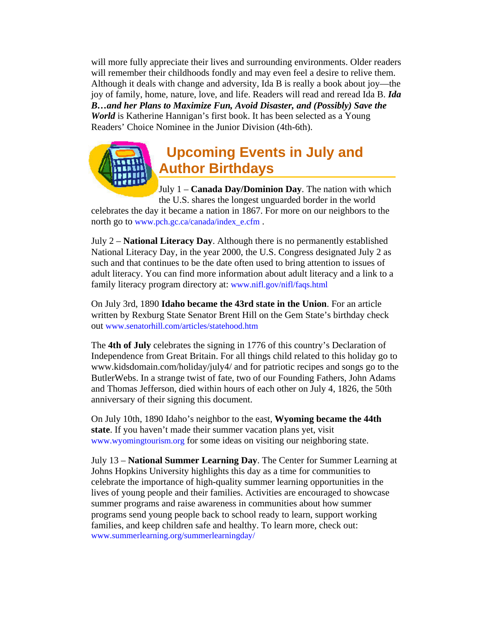<span id="page-7-0"></span>will more fully appreciate their lives and surrounding environments. Older readers will remember their childhoods fondly and may even feel a desire to relive them. Although it deals with change and adversity, Ida B is really a book about joy—the joy of family, home, nature, love, and life. Readers will read and reread Ida B. *Ida B…and her Plans to Maximize Fun, Avoid Disaster, and (Possibly) Save the World* is Katherine Hannigan's first book. It has been selected as a Young Readers' Choice Nominee in the Junior Division (4th-6th).

## **Upcoming Events in July and Author Birthdays**

July 1 – **Canada Day/Dominion Day**. The nation with which the U.S. shares the longest unguarded border in the world

celebrates the day it became a nation in 1867. For more on our neighbors to the north go to [www.pch.gc.ca/canada/index\\_e.cfm](http://www.pch.gc.ca/canada/index_e.cfm).

July 2 – **National Literacy Day**. Although there is no permanently established National Literacy Day, in the year 2000, the U.S. Congress designated July 2 as such and that continues to be the date often used to bring attention to issues of adult literacy. You can find more information about adult literacy and a link to a family literacy program directory at: [www.nifl.gov/nifl/faqs.html](http://www.nifl.gov/nifl/faqs.html)

On July 3rd, 1890 **Idaho became the 43rd state in the Union**. For an article written by Rexburg State Senator Brent Hill on the Gem State's birthday check out [www.senatorhill.com/articles/statehood.htm](http://www.senatorhill.com/articles/statehood.htm)

The **4th of July** celebrates the signing in 1776 of this country's Declaration of Independence from Great Britain. For all things child related to this holiday go to www.kidsdomain.com/holiday/july4/ and for patriotic recipes and songs go to the ButlerWebs. In a strange twist of fate, two of our Founding Fathers, John Adams and Thomas Jefferson, died within hours of each other on July 4, 1826, the 50th anniversary of their signing this document.

On July 10th, 1890 Idaho's neighbor to the east, **Wyoming became the 44th state**. If you haven't made their summer vacation plans yet, visit [www.wyomingtourism.org](http://www.wyomingtourism.org/) for some ideas on visiting our neighboring state.

July 13 – **National Summer Learning Day**. The Center for Summer Learning at Johns Hopkins University highlights this day as a time for communities to celebrate the importance of high-quality summer learning opportunities in the lives of young people and their families. Activities are encouraged to showcase summer programs and raise awareness in communities about how summer programs send young people back to school ready to learn, support working families, and keep children safe and healthy. To learn more, check out: [www.summerlearning.org/summerlearningday/](http://www.summerlearning.org/summerlearningday/)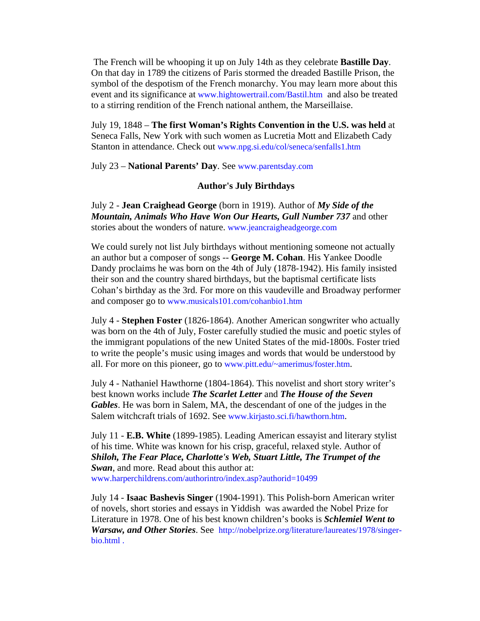The French will be whooping it up on July 14th as they celebrate **Bastille Day**. On that day in 1789 the citizens of Paris stormed the dreaded Bastille Prison, the symbol of the despotism of the French monarchy. You may learn more about this event and its significance at [www.hightowertrail.com/Bastil.htm](http://www.hightowertrail.com/Bastil.htm) and also be treated to a stirring rendition of the French national anthem, the Marseillaise.

July 19, 1848 – **The first Woman's Rights Convention in the U.S. was held** at Seneca Falls, New York with such women as Lucretia Mott and Elizabeth Cady Stanton in attendance. Check out [www.npg.si.edu/col/seneca/senfalls1.htm](http://www.npg.si.edu/col/seneca/senfalls1.htm)

July 23 – **National Parents' Day**. See [www.parentsday.com](http://www.parentsday.com/) 

#### **Author's July Birthdays**

July 2 - **Jean Craighead George** (born in 1919). Author of *My Side of the Mountain, Animals Who Have Won Our Hearts, Gull Number 737* and other stories about the wonders of nature. [www.jeancraigheadgeorge.com](http://www.jeancraigheadgeorge.com/) 

We could surely not list July birthdays without mentioning someone not actually an author but a composer of songs -- **George M. Cohan**. His Yankee Doodle Dandy proclaims he was born on the 4th of July (1878-1942). His family insisted their son and the country shared birthdays, but the baptismal certificate lists Cohan's birthday as the 3rd. For more on this vaudeville and Broadway performer and composer go to [www.musicals101.com/cohanbio1.htm](http://www.musicals101.com/cohanbio1.htm) 

July 4 - **Stephen Foster** (1826-1864). Another American songwriter who actually was born on the 4th of July, Foster carefully studied the music and poetic styles of the immigrant populations of the new United States of the mid-1800s. Foster tried to write the people's music using images and words that would be understood by all. For more on this pioneer, go to [www.pitt.edu/~amerimus/foster.htm.](http://www.pitt.edu/%7Eamerimus/foster.htm)

July 4 - Nathaniel Hawthorne (1804-1864). This novelist and short story writer's best known works include *The Scarlet Letter* and *The House of the Seven Gables*. He was born in Salem, MA, the descendant of one of the judges in the Salem witchcraft trials of 1692. See [www.kirjasto.sci.fi/hawthorn.htm.](http://www.kirjasto.sci.fi/hawthorn.htm)

July 11 - **E.B. White** (1899-1985). Leading American essayist and literary stylist of his time. White was known for his crisp, graceful, relaxed style. Author of *Shiloh, The Fear Place, Charlotte's Web, Stuart Little, The Trumpet of the Swan*, and more. Read about this author at: [www.harperchildrens.com/authorintro/index.asp?authorid=10499](http://www.harperchildrens.com/authorintro/index.asp?authorid=10499)

July 14 - **Isaac Bashevis Singer** (1904-1991). This Polish-born American writer of novels, short stories and essays in Yiddish was awarded the Nobel Prize for Literature in 1978. One of his best known children's books is *Schlemiel Went to Warsaw, and Other Stories*. See [http://nobelprize.org/literature/laureates/1978/singer](http://nobelprize.org/literature/laureates/1978/singer-bio.html)[bio.html .](http://nobelprize.org/literature/laureates/1978/singer-bio.html)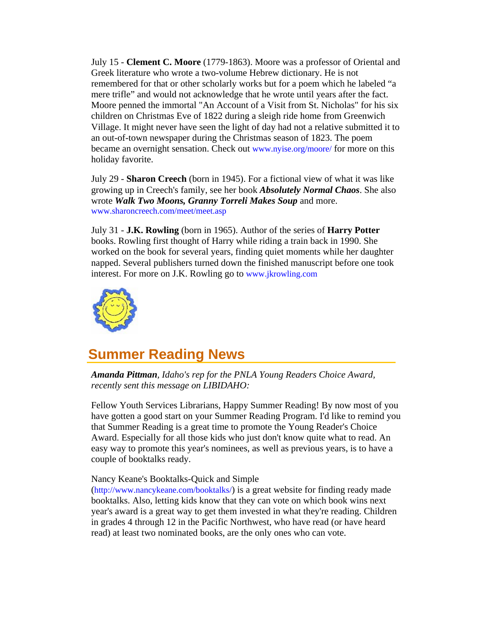<span id="page-9-0"></span>July 15 - **Clement C. Moore** (1779-1863). Moore was a professor of Oriental and Greek literature who wrote a two-volume Hebrew dictionary. He is not remembered for that or other scholarly works but for a poem which he labeled "a mere trifle" and would not acknowledge that he wrote until years after the fact. Moore penned the immortal "An Account of a Visit from St. Nicholas" for his six children on Christmas Eve of 1822 during a sleigh ride home from Greenwich Village. It might never have seen the light of day had not a relative submitted it to an out-of-town newspaper during the Christmas season of 1823. The poem became an overnight sensation. Check out [www.nyise.org/moore/](http://www.nyise.org/moore/) for more on this holiday favorite.

July 29 - **Sharon Creech** (born in 1945). For a fictional view of what it was like growing up in Creech's family, see her book *Absolutely Normal Chaos*. She also wrote *Walk Two Moons, Granny Torreli Makes Soup* and more. [www.sharoncreech.com/meet/meet.asp](http://www.sharoncreech.com/meet/meet.asp) 

July 31 - **J.K. Rowling** (born in 1965). Author of the series of **Harry Potter** books. Rowling first thought of Harry while riding a train back in 1990. She worked on the book for several years, finding quiet moments while her daughter napped. Several publishers turned down the finished manuscript before one took interest. For more on J.K. Rowling go to [www.jkrowling.com](http://www.jkrowling.com/) 



### **Summer Reading News**

*Amanda Pittman, Idaho's rep for the PNLA Young Readers Choice Award, recently sent this message on LIBIDAHO:*

Fellow Youth Services Librarians, Happy Summer Reading! By now most of you have gotten a good start on your Summer Reading Program. I'd like to remind you that Summer Reading is a great time to promote the Young Reader's Choice Award. Especially for all those kids who just don't know quite what to read. An easy way to promote this year's nominees, as well as previous years, is to have a couple of booktalks ready.

#### Nancy Keane's Booktalks-Quick and Simple

[\(http://www.nancykeane.com/booktalks/\)](http://www.nancykeane.com/booktalks/) is a great website for finding ready made booktalks. Also, letting kids know that they can vote on which book wins next year's award is a great way to get them invested in what they're reading. Children in grades 4 through 12 in the Pacific Northwest, who have read (or have heard read) at least two nominated books, are the only ones who can vote.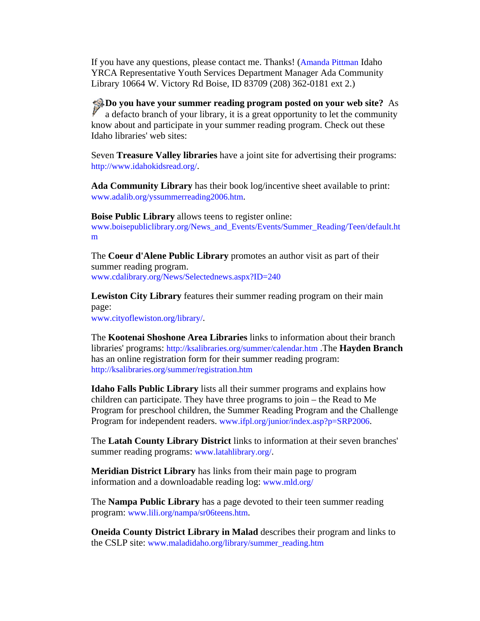If you have any questions, please contact me. Thanks! [\(Amanda Pittman](mailto:pittman@adalib.org) Idaho YRCA Representative Youth Services Department Manager Ada Community Library 10664 W. Victory Rd Boise, ID 83709 (208) 362-0181 ext 2.)

**Do you have your summer reading program posted on your web site?** As a defacto branch of your library, it is a great opportunity to let the community know about and participate in your summer reading program. Check out these Idaho libraries' web sites:

Seven **Treasure Valley libraries** have a joint site for advertising their programs: <http://www.idahokidsread.org/>.

**Ada Community Library** has their book log/incentive sheet available to print: [www.adalib.org/yssummerreading2006.htm](http://www.adalib.org/yssummerreading2006.htm).

**Boise Public Library** allows teens to register online: [www.boisepubliclibrary.org/News\\_and\\_Events/Events/Summer\\_Reading/Teen/default.ht](http://www.boisepubliclibrary.org/News_and_Events/Events/Summer_Reading/Teen/default.htm) [m](http://www.boisepubliclibrary.org/News_and_Events/Events/Summer_Reading/Teen/default.htm)

The **Coeur d'Alene Public Library** promotes an author visit as part of their summer reading program. [www.cdalibrary.org/News/Selectednews.aspx?ID=240](http://www.cdalibrary.org/News/Selectednews.aspx?ID=240)

**Lewiston City Library** features their summer reading program on their main page:

[www.cityoflewiston.org/library/.](http://www.cityoflewiston.org/library/)

The **Kootenai Shoshone Area Libraries** links to information about their branch libraries' programs:<http://ksalibraries.org/summer/calendar.htm>.The **Hayden Branch**  has an online registration form for their summer reading program: <http://ksalibraries.org/summer/registration.htm>

**Idaho Falls Public Library** lists all their summer programs and explains how children can participate. They have three programs to join – the Read to Me Program for preschool children, the Summer Reading Program and the Challenge Program for independent readers. [www.ifpl.org/junior/index.asp?p=SRP2006.](http://www.ifpl.org/junior/index.asp?p=SRP2006)

The **Latah County Library District** links to information at their seven branches' summer reading programs: [www.latahlibrary.org/](http://www.latahlibrary.org/).

**Meridian District Library** has links from their main page to program information and a downloadable reading log: [www.mld.org/](http://www.mld.org/)

The **Nampa Public Library** has a page devoted to their teen summer reading program: [www.lili.org/nampa/sr06teens.htm](http://www.lili.org/nampa/sr06teens.htm).

**Oneida County District Library in Malad** describes their program and links to the CSLP site: [www.maladidaho.org/library/summer\\_reading.htm](http://www.maladidaho.org/library/summer_reading.htm)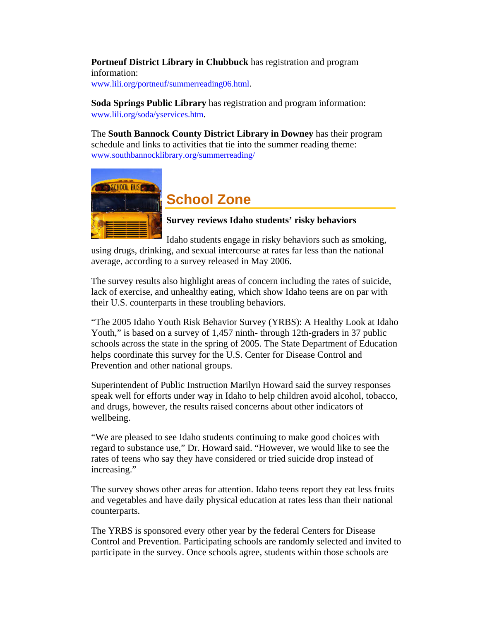<span id="page-11-0"></span>**Portneuf District Library in Chubbuck** has registration and program information:

[www.lili.org/portneuf/summerreading06.html](http://www.lili.org/portneuf/summerreading06.html).

**Soda Springs Public Library** has registration and program information: [www.lili.org/soda/yservices.htm.](http://www.lili.org/soda/yservices.htm)

The **South Bannock County District Library in Downey** has their program schedule and links to activities that tie into the summer reading theme: [www.southbannocklibrary.org/summerreading/](http://www.southbannocklibrary.org/summerreading/)



### **School Zone**

**Survey reviews Idaho students' risky behaviors** 

Idaho students engage in risky behaviors such as smoking, using drugs, drinking, and sexual intercourse at rates far less than the national average, according to a survey released in May 2006.

The survey results also highlight areas of concern including the rates of suicide, lack of exercise, and unhealthy eating, which show Idaho teens are on par with their U.S. counterparts in these troubling behaviors.

"The 2005 Idaho Youth Risk Behavior Survey (YRBS): A Healthy Look at Idaho Youth," is based on a survey of 1,457 ninth- through 12th-graders in 37 public schools across the state in the spring of 2005. The State Department of Education helps coordinate this survey for the U.S. Center for Disease Control and Prevention and other national groups.

Superintendent of Public Instruction Marilyn Howard said the survey responses speak well for efforts under way in Idaho to help children avoid alcohol, tobacco, and drugs, however, the results raised concerns about other indicators of wellbeing.

"We are pleased to see Idaho students continuing to make good choices with regard to substance use," Dr. Howard said. "However, we would like to see the rates of teens who say they have considered or tried suicide drop instead of increasing."

The survey shows other areas for attention. Idaho teens report they eat less fruits and vegetables and have daily physical education at rates less than their national counterparts.

The YRBS is sponsored every other year by the federal Centers for Disease Control and Prevention. Participating schools are randomly selected and invited to participate in the survey. Once schools agree, students within those schools are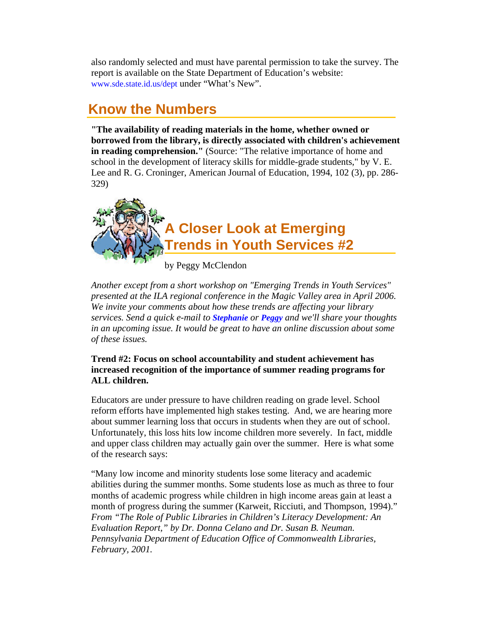<span id="page-12-0"></span>also randomly selected and must have parental permission to take the survey. The report is available on the State Department of Education's website: [www.sde.state.id.us/dept](http://www.sde.state.id.us/dept) under "What's New".

### **Know the Numbers**

**"The availability of reading materials in the home, whether owned or borrowed from the library, is directly associated with children's achievement in reading comprehension.**" (Source: "The relative importance of home and school in the development of literacy skills for middle-grade students," by V. E. Lee and R. G. Croninger, American Journal of Education, 1994, 102 (3), pp. 286- 329)



*Another except from a short workshop on "Emerging Trends in Youth Services" presented at the ILA regional conference in the Magic Valley area in April 2006. We invite your comments about how these trends are affecting your library services. Send a quick e-mail to [Stephanie](mailto:stephanie.bailey-white@libraries.idaho.gov) or [Peggy](mailto:peggy.mcclendon@libraries.idaho.gov) and we'll share your thoughts in an upcoming issue. It would be great to have an online discussion about some of these issues.* 

#### **Trend #2: Focus on school accountability and student achievement has increased recognition of the importance of summer reading programs for ALL children.**

Educators are under pressure to have children reading on grade level. School reform efforts have implemented high stakes testing. And, we are hearing more about summer learning loss that occurs in students when they are out of school. Unfortunately, this loss hits low income children more severely. In fact, middle and upper class children may actually gain over the summer. Here is what some of the research says:

"Many low income and minority students lose some literacy and academic abilities during the summer months. Some students lose as much as three to four months of academic progress while children in high income areas gain at least a month of progress during the summer (Karweit, Ricciuti, and Thompson, 1994)." *From "The Role of Public Libraries in Children's Literacy Development: An Evaluation Report," by Dr. Donna Celano and Dr. Susan B. Neuman. Pennsylvania Department of Education Office of Commonwealth Libraries, February, 2001.*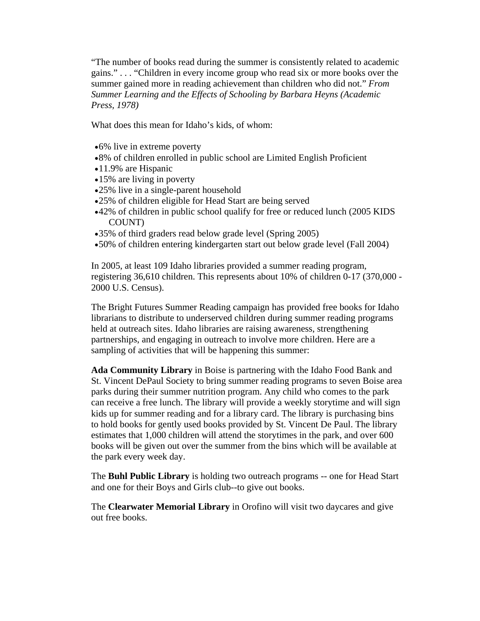"The number of books read during the summer is consistently related to academic gains." . . . "Children in every income group who read six or more books over the summer gained more in reading achievement than children who did not." *From Summer Learning and the Effects of Schooling by Barbara Heyns (Academic Press, 1978)*

What does this mean for Idaho's kids, of whom:

- •6% live in extreme poverty
- •8% of children enrolled in public school are Limited English Proficient
- •11.9% are Hispanic
- •15% are living in poverty
- •25% live in a single-parent household
- •25% of children eligible for Head Start are being served
- •42% of children in public school qualify for free or reduced lunch (2005 KIDS COUNT)
- •35% of third graders read below grade level (Spring 2005)
- •50% of children entering kindergarten start out below grade level (Fall 2004)

In 2005, at least 109 Idaho libraries provided a summer reading program, registering 36,610 children. This represents about 10% of children 0-17 (370,000 - 2000 U.S. Census).

The Bright Futures Summer Reading campaign has provided free books for Idaho librarians to distribute to underserved children during summer reading programs held at outreach sites. Idaho libraries are raising awareness, strengthening partnerships, and engaging in outreach to involve more children. Here are a sampling of activities that will be happening this summer:

**Ada Community Library** in Boise is partnering with the Idaho Food Bank and St. Vincent DePaul Society to bring summer reading programs to seven Boise area parks during their summer nutrition program. Any child who comes to the park can receive a free lunch. The library will provide a weekly storytime and will sign kids up for summer reading and for a library card. The library is purchasing bins to hold books for gently used books provided by St. Vincent De Paul. The library estimates that 1,000 children will attend the storytimes in the park, and over 600 books will be given out over the summer from the bins which will be available at the park every week day.

The **Buhl Public Library** is holding two outreach programs -- one for Head Start and one for their Boys and Girls club--to give out books.

The **Clearwater Memorial Library** in Orofino will visit two daycares and give out free books.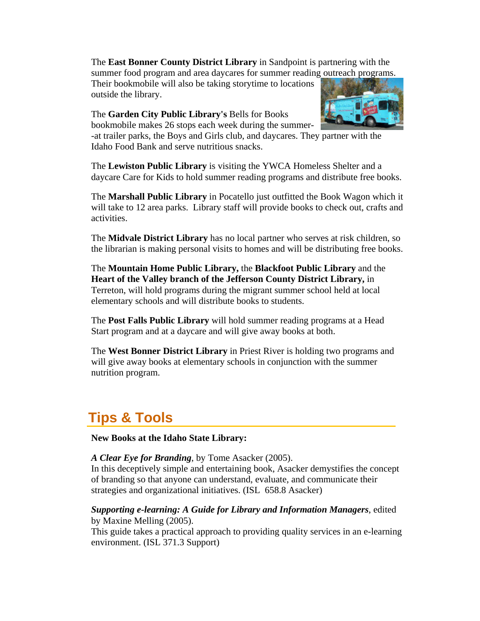<span id="page-14-0"></span>The **East Bonner County District Library** in Sandpoint is partnering with the summer food program and area daycares for summer reading outreach programs.

Their bookmobile will also be taking storytime to locations outside the library.

#### The **Garden City Public Library's** Bells for Books

bookmobile makes 26 stops each week during the summer-



-at trailer parks, the Boys and Girls club, and daycares. They partner with the Idaho Food Bank and serve nutritious snacks.

The **Lewiston Public Library** is visiting the YWCA Homeless Shelter and a daycare Care for Kids to hold summer reading programs and distribute free books.

The **Marshall Public Library** in Pocatello just outfitted the Book Wagon which it will take to 12 area parks. Library staff will provide books to check out, crafts and activities.

The **Midvale District Library** has no local partner who serves at risk children, so the librarian is making personal visits to homes and will be distributing free books.

The **Mountain Home Public Library,** the **Blackfoot Public Library** and the **Heart of the Valley branch of the Jefferson County District Library,** in Terreton, will hold programs during the migrant summer school held at local elementary schools and will distribute books to students.

The **Post Falls Public Library** will hold summer reading programs at a Head Start program and at a daycare and will give away books at both.

The **West Bonner District Library** in Priest River is holding two programs and will give away books at elementary schools in conjunction with the summer nutrition program.

### **Tips & Tools**

**New Books at the Idaho State Library:**

*A Clear Eye for Branding*, by Tome Asacker (2005).

In this deceptively simple and entertaining book, Asacker demystifies the concept of branding so that anyone can understand, evaluate, and communicate their strategies and organizational initiatives. (ISL 658.8 Asacker)

#### *Supporting e-learning: A Guide for Library and Information Managers*, edited by Maxine Melling (2005).

This guide takes a practical approach to providing quality services in an e-learning environment. (ISL 371.3 Support)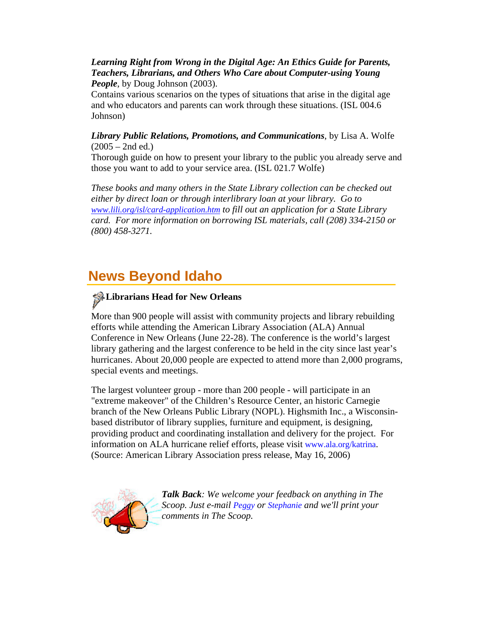#### <span id="page-15-0"></span>*Learning Right from Wrong in the Digital Age: An Ethics Guide for Parents, Teachers, Librarians, and Others Who Care about Computer-using Young People*, by Doug Johnson (2003).

Contains various scenarios on the types of situations that arise in the digital age and who educators and parents can work through these situations. (ISL 004.6 Johnson)

#### *Library Public Relations, Promotions, and Communications*, by Lisa A. Wolfe  $(2005 - 2nd$  ed.)

Thorough guide on how to present your library to the public you already serve and those you want to add to your service area. (ISL 021.7 Wolfe)

*These books and many others in the State Library collection can be checked out either by direct loan or through interlibrary loan at your library. Go to [www.lili.org/isl/card-application.htm](http://www.lili.org/forms/card-application.htm) to fill out an application for a State Library card. For more information on borrowing ISL materials, call (208) 334-2150 or (800) 458-3271.*

### **News Beyond Idaho**

# **Librarians Head for New Orleans**

More than 900 people will assist with community projects and library rebuilding efforts while attending the American Library Association (ALA) Annual Conference in New Orleans (June 22-28). The conference is the world's largest library gathering and the largest conference to be held in the city since last year's hurricanes. About 20,000 people are expected to attend more than 2,000 programs, special events and meetings.

The largest volunteer group - more than 200 people - will participate in an "extreme makeover" of the Children's Resource Center, an historic Carnegie branch of the New Orleans Public Library (NOPL). Highsmith Inc., a Wisconsinbased distributor of library supplies, furniture and equipment, is designing, providing product and coordinating installation and delivery for the project. For information on ALA hurricane relief efforts, please visit [www.ala.org/katrina.](http://www.ala.org/katrina) (Source: American Library Association press release, May 16, 2006)



*Talk Back: We welcome your feedback on anything in The Scoop. Just e-mail [Peggy](mailto:peggy.mcclendon@libraries.idaho.gov) or [Stephanie](mailto:stephanie.bailey-white@libraries.idaho.gov) and we'll print your comments in The Scoop.*